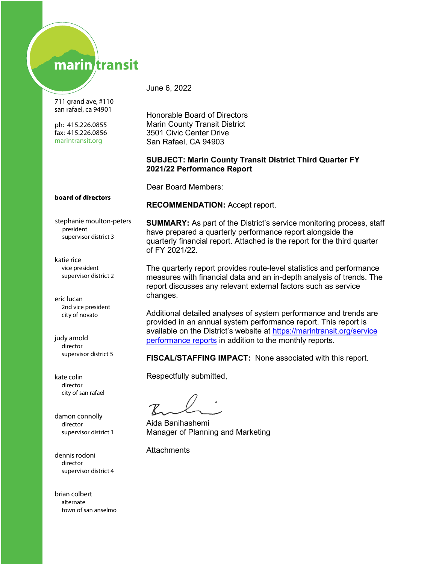# marin transit

711 grand ave, #110 san rafael, ca 94901

ph: 415.226.0855 fax: 415.226.0856 marintransit.org

June 6, 2022

Honorable Board of Directors Marin County Transit District 3501 Civic Center Drive San Rafael, CA 94903

**RECOMMENDATION:** Accept report.

#### **SUBJECT: Marin County Transit District Third Quarter FY 2021/22 Performance Report**

Dear Board Members:

#### board of directors

stephanie moulton-peters president supervisor district 3

**SUMMARY:** As part of the District's service monitoring process, staff have prepared a quarterly performance report alongside the quarterly financial report. Attached is the report for the third quarter of FY 2021/22.

The quarterly report provides route-level statistics and performance measures with financial data and an in-depth analysis of trends. The report discusses any relevant external factors such as service changes.

Additional detailed analyses of system performance and trends are provided in an annual system performance report. This report is available on the District's website at https://marintransit.org/service [performance reports](https://marintransit.org/service-performance-and-reports) in addition to the monthly reports.

**FISCAL/STAFFING IMPACT:** None associated with this report.

Respectfully submitted,

Aida Banihashemi Manager of Planning and Marketing

**Attachments** 

katie rice supervisor district 2 vice president

eric lucan city of novato 2nd vice president

judy arnold director supervisor district 5

kate colin director city of san rafael

damon connolly director supervisor district 1

dennis rodoni supervisor district 4 director

brian colbert town of san anselmo alternate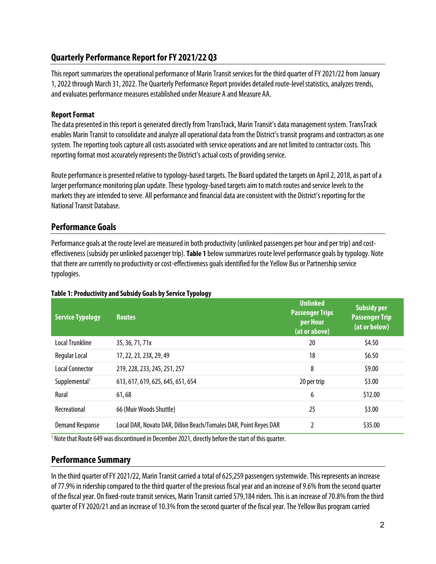### **Quarterly Performance Report for FY 2021/22 Q3**

This report summarizes the operational performance of Marin Transit services for the thirdquarter of FY 2021/22 from January 1, 2022 through March 31, 2022. The Quarterly Performance Report provides detailed route-level statistics, analyzes trends, and evaluates performance measures established under Measure A and Measure AA.

### **Report Format**

The data presented in this report is generated directly from TransTrack, Marin Transit's data management system. TransTrack enables Marin Transit to consolidate and analyze all operational data from the District's transit programs and contractors as one system. The reporting tools capture all costs associated with service operations and are not limited to contractor costs. This reporting format most accurately represents the District's actual costs of providing service.

Route performance is presented relative to typology-based targets. The Board updated the targets on April 2, 2018, as partof a larger performance monitoring plan update. These typology-based targets aim to match routes and service levels to the markets they are intended to serve. All performance and financial data areconsistent with the District's reporting for the NationalTransit Database.

### **Performance Goals**

Performance goals at the route level are measured in both productivity (unlinked passengers per hour and per trip) and costeffectiveness (subsidy per unlinked passenger trip). **[Table 1](#page-1-0)** below summarizes route level performance goals by typology. Note that there are currently no productivity or cost-effectiveness goals identified for the Yellow Bus or Partnership service typologies.

| <b>Service Typology</b>   | <b>Routes</b>                                                    | <b>Unlinked</b><br><b>Passenger Trips</b><br>per Hour<br>(at or above) | <b>Subsidy per</b><br><b>Passenger Trip</b><br>(at or below) |
|---------------------------|------------------------------------------------------------------|------------------------------------------------------------------------|--------------------------------------------------------------|
| <b>Local Trunkline</b>    | 35, 36, 71, 71x                                                  | 20                                                                     | \$4.50                                                       |
| Regular Local             | 17, 22, 23, 23X, 29, 49                                          | 18                                                                     | \$6.50                                                       |
| Local Connector           | 219, 228, 233, 245, 251, 257                                     | 8                                                                      | \$9.00                                                       |
| Supplemental <sup>1</sup> | 613, 617, 619, 625, 645, 651, 654                                | 20 per trip                                                            | \$3.00                                                       |
| Rural                     | 61,68                                                            | 6                                                                      | \$12.00                                                      |
| Recreational              | 66 (Muir Woods Shuttle)                                          | 25                                                                     | \$3.00                                                       |
| <b>Demand Response</b>    | Local DAR, Novato DAR, Dillon Beach/Tomales DAR, Point Reyes DAR | 2                                                                      | \$35.00                                                      |

### <span id="page-1-0"></span>**Table 1: Productivity and Subsidy Goals by Service Typology**

 $1$  Note that Route 649 was discontinued in December 2021, directly before the start of this quarter.

### **Performance Summary**

In the third quarter of FY 2021/22, Marin Transit carried a total of 625,259 passengers systemwide. This represents an increase of 77.9% in ridership compared to the third quarter of the previous fiscal year and an increase of 9.6% from the second quarter of the fiscal year. On fixed-route transit services, Marin Transit carried 579,184riders. This is an increase of 70.8% fromthe third quarter of FY 2020/21 and an increase of 10.3% from the second quarter of the fiscal year. The Yellow Bus program carried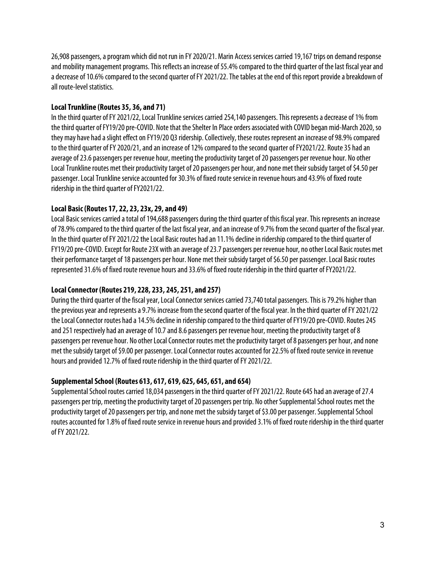26,908 passengers, a program which did not run in FY 2020/21. Marin Access services carried 19,167 trips on demand response and mobility management programs. This reflects an increase of 55.4% compared to the third quarter of the last fiscal year and a decrease of 10.6% compared to the second quarter of FY 2021/22. The tables at the end of this report provide a breakdown of all route-level statistics.

### **Local Trunkline (Routes 35, 36, and 71)**

In the third quarter of FY 2021/22, Local Trunkline services carried 254,140 passengers. This represents a decrease of 1% from the third quarter of FY19/20 pre-COVID. Note that the Shelter In Place orders associated with COVID began mid-March 2020, so they may have had a slight effect on FY19/20 Q3 ridership. Collectively, these routes represent an increase of 98.9% compared to the third quarter of FY 2020/21, and an increase of 12% compared to the second quarter of FY2021/22. Route 35 had an average of 23.6 passengers per revenue hour, meeting the productivity target of 20 passengers per revenue hour. No other Local Trunkline routes met their productivity target of 20 passengers per hour, and none met their subsidy target of \$4.50 per passenger. Local Trunkline service accounted for 30.3% of fixed route service in revenue hours and 43.9% of fixed route ridership in the third quarter of FY2021/22.

### **Local Basic (Routes 17, 22, 23, 23x, 29, and 49)**

Local Basic services carried a total of 194,688 passengers during the third quarter of this fiscal year. This represents an increase of 78.9% compared to the third quarter of the last fiscal year, and an increase of 9.7% from the second quarter of the fiscal year. In the third quarter of FY 2021/22 the Local Basic routes had an 11.1% decline in ridership compared to the third quarter of FY19/20 pre-COVID. Except for Route 23X with an average of 23.7 passengers per revenue hour, noother Local Basic routes met their performance target of 18 passengers per hour. None met their subsidy target of \$6.50 per passenger. Local Basic routes represented 31.6% of fixed route revenue hours and 33.6% of fixed route ridership in the third quarter of FY2021/22.

### **Local Connector (Routes 219, 228, 233, 245, 251, and 257)**

During the third quarter of the fiscal year, Local Connector services carried 73,740 total passengers. This is 79.2% higher than the previous year and represents a 9.7% increase from the second quarter of the fiscal year. In the third quarter of FY 2021/22 the Local Connector routes had a 14.5% decline in ridership compared to the third quarter of FY19/20 pre-COVID. Routes 245 and 251 respectively had an average of 10.7 and 8.6 passengers per revenue hour, meeting the productivity target of 8 passengers per revenue hour. No other Local Connector routes met the productivity target of 8 passengers per hour, and none met the subsidy target of \$9.00 per passenger.Local Connector routes accounted for 22.5% of fixed route service in revenue hours and provided 12.7% of fixed route ridership in the third quarter of FY 2021/22.

#### **Supplemental School (Routes 613, 617, 619, 625, 645, 651, and 654)**

Supplemental School routes carried 18,034 passengers in the third quarter of FY 2021/22. Route 645 had an average of 27.4 passengers per trip, meeting the productivity target of 20 passengers per trip. No other Supplemental School routes met the productivity target of 20 passengers per trip, and none met the subsidy target of \$3.00 per passenger. Supplemental School routes accounted for 1.8% of fixed route service in revenue hours and provided 3.1% of fixed route ridership in the thirdquarter of FY 2021/22.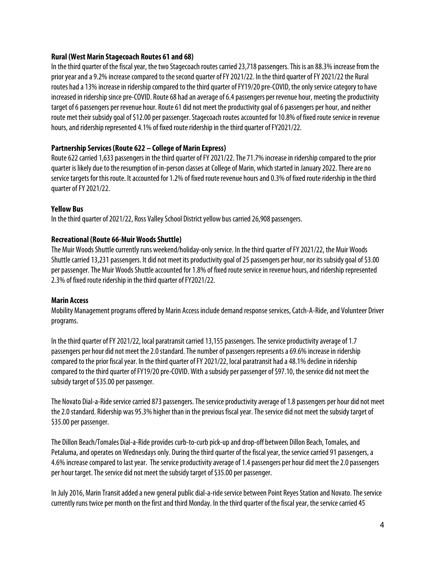#### **Rural (West Marin Stagecoach Routes 61 and 68)**

In the third quarter of the fiscal year, the two Stagecoach routes carried 23,718 passengers. This is an 88.3% increase from the prior year and a 9.2% increase compared to the second quarter of FY 2021/22. In the third quarter of FY 2021/22 the Rural routes had a 13% increase in ridership compared to the third quarter of FY19/20 pre-COVID, the only service category to have increased in ridership since pre-COVID. Route 68 had an average of 6.4 passengers per revenue hour, meeting the productivity target of 6 passengers per revenue hour. Route 61 did not meet the productivity goal of 6 passengers per hour, and neither route met their subsidy goal of \$12.00 per passenger. Stagecoach routes accounted for 10.8% of fixed route service in revenue hours, and ridership represented 4.1% of fixed route ridership in the third quarter of FY2021/22.

### **Partnership Services (Route 622 – College of Marin Express)**

Route 622 carried 1,633 passengers in the third quarter of FY 2021/22. The 71.7% increase in ridership compared to the prior quarter is likely due to the resumption of in-person classes at College of Marin, which started in January 2022.There are no service targets for this route. It accounted for 1.2% of fixed route revenue hours and 0.3% of fixed route ridership in the third quarter of FY 2021/22.

#### **Yellow Bus**

In the third quarter of 2021/22, Ross Valley School District yellow bus carried 26,908 passengers.

#### **Recreational (Route 66-Muir Woods Shuttle)**

The Muir Woods Shuttle currently runs weekend/holiday-only service. In the third quarter of FY 2021/22, the Muir Woods Shuttle carried 13,231 passengers. It did not meet its productivity goal of 25 passengers per hour, nor its subsidy goal of \$3.00 per passenger. The Muir Woods Shuttle accounted for 1.8% of fixed route service in revenue hours, and ridership represented 2.3% of fixed route ridership in the third quarter of FY2021/22.

#### **Marin Access**

Mobility Management programs offered by Marin Access include demand response services, Catch-A-Ride, and Volunteer Driver programs.

In the third quarter of FY 2021/22, local paratransit carried 13,155 passengers. The service productivity average of 1.7 passengers per hour did not meet the 2.0 standard. The number of passengers represents a 69.6% increase in ridership compared to the prior fiscal year. In the third quarter of FY 2021/22, local paratransit had a 48.1% decline in ridership compared to the third quarter of FY19/20 pre-COVID. With a subsidy per passenger of \$97.10, the service did not meet the subsidy target of \$35.00 per passenger.

The Novato Dial-a-Ride service carried 873 passengers. The service productivity average of 1.8 passengers per hour did not meet the 2.0 standard. Ridership was 95.3% higher than in the previous fiscal year. The service did not meet the subsidy target of \$35.00 per passenger.

The Dillon Beach/Tomales Dial-a-Ride provides curb-to-curb pick-up and drop-off between Dillon Beach, Tomales, and Petaluma, and operates on Wednesdays only. During the third quarter of the fiscal year, the service carried 91 passengers, a 4.6% increase compared to last year. The service productivity average of 1.4 passengers per hour did meet the 2.0 passengers per hour target. The service did not meet the subsidy target of \$35.00 per passenger.

In July 2016, Marin Transit added a new general public dial-a-ride service between Point Reyes Station and Novato. The service currently runs twice per month on the first and third Monday. In the third quarter of the fiscal year, the service carried 45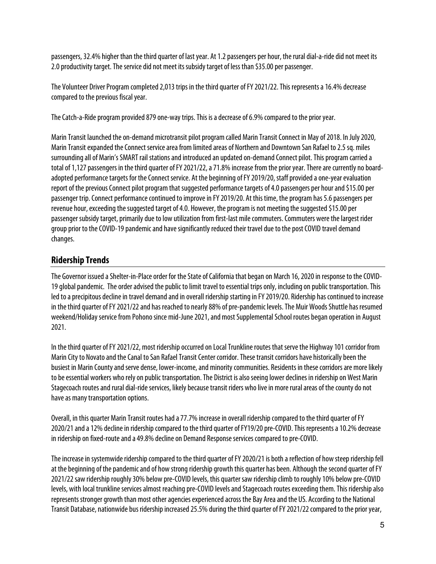passengers, 32.4% higher than the third quarter of last year. At 1.2 passengers per hour, the rural dial-a-ride did not meet its 2.0 productivity target. The service did not meet its subsidy target of less than \$35.00 per passenger.

The Volunteer Driver Program completed 2,013 trips in the third quarter of FY 2021/22. This represents a 16.4% decrease compared to the previous fiscal year.

The Catch-a-Ride program provided 879 one-way trips. This is a decrease of 6.9% compared to the prior year.

Marin Transit launched the on-demand microtransit pilot programcalled Marin Transit Connect in May of 2018. In July 2020, Marin Transit expanded the Connect service area from limited areas of Northern and Downtown San Rafael to 2.5 sq. miles surrounding all of Marin's SMART rail stations and introduced an updated on-demand Connect pilot. This program carried a total of 1,127 passengers in the third quarter of FY 2021/22, a 71.8% increase from the prior year. There are currently no boardadopted performance targets for the Connect service. At the beginning of FY 2019/20, staff provided a one-year evaluation report of the previous Connect pilot program that suggested performance targets of 4.0 passengers per hour and \$15.00 per passenger trip. Connect performance continued to improve in FY 2019/20. At this time, the program has 5.6passengers per revenue hour, exceeding the suggested target of 4.0. However, the program is not meeting the suggested \$15.00 per passenger subsidy target, primarily due to low utilization from first-last mile commuters. Commuters were the largest rider group prior to the COVID-19 pandemic and have significantly reduced their travel due to the post COVID travel demand changes.

## **Ridership Trends**

The Governor issued a Shelter-in-Place order for the State of California that began on March 16, 2020 in response to the COVID-19 global pandemic. The order advised the public to limit travel to essential trips only, including on public transportation. This led to a precipitous decline in travel demand and in overall ridership starting in FY 2019/20. Ridership has continued to increase in the third quarter of FY 2021/22 and has reached to nearly 88% of pre-pandemic levels. The Muir Woods Shuttle has resumed weekend/Holiday service from Pohono since mid-June 2021, and most Supplemental School routes began operation in August 2021.

In the third quarter of FY 2021/22, most ridership occurred on Local Trunkline routes that serve the Highway 101 corridor from Marin City to Novato and the Canal to San Rafael Transit Center corridor. These transit corridors have historically been the busiest in Marin County and serve dense, lower-income, and minority communities. Residents in these corridors are more likely to be essential workers who rely on public transportation. The District is also seeing lower declines in ridership on West Marin Stagecoach routes and rural dial-ride services, likely because transit riders who live in more rural areas of the county do not have as many transportation options.

Overall, in this quarter Marin Transit routes had a 77.7% increase in overall ridership compared to the third quarter of FY 2020/21and a 12% decline in ridership compared to the thirdquarter of FY19/20 pre-COVID. This represents a 10.2% decrease in ridership on fixed-route and a 49.8% decline on Demand Response services compared to pre-COVID.

The increase in systemwide ridership compared to the third quarter of FY 2020/21 is both a reflection of how steep ridership fell at the beginning of the pandemic and of how strong ridership growth this quarter has been. Although the second quarter of FY 2021/22 saw ridership roughly 30% below pre-COVID levels, this quarter saw ridership climb to roughly 10% below pre-COVID levels, with local trunkline services almost reaching pre-COVID levels and Stagecoach routes exceeding them. This ridership also represents stronger growth than most other agencies experienced across the Bay Area and the US. According to the National Transit Database, nationwide bus ridership increased 25.5% during the third quarter of FY 2021/22 compared to the prior year,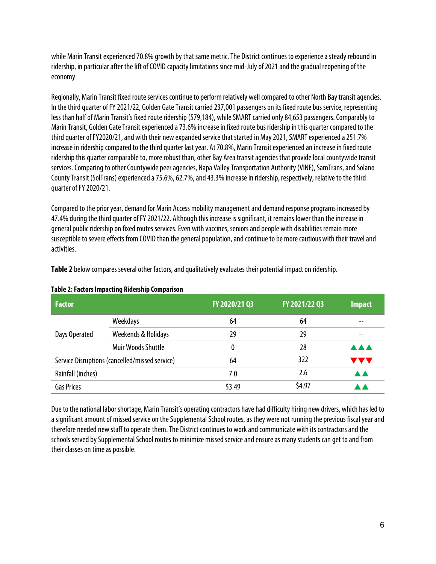while Marin Transit experienced 70.8% growth by that same metric. The District continues to experience a steady rebound in ridership, in particular after the lift of COVID capacity limitations since mid-July of 2021 and the gradual reopening of the economy.

Regionally, Marin Transit fixed route services continue to perform relatively well compared to other North Bay transit agencies. In the third quarter of FY 2021/22, Golden Gate Transit carried 237,001 passengers on its fixed route bus service, representing less than half of Marin Transit's fixed route ridership (579,184), while SMART carried only 84,653 passengers. Comparably to Marin Transit, Golden Gate Transit experienced a 73.6% increase in fixed route bus ridership in this quarter compared to the third quarter of FY2020/21, and with their new expanded service that started in May 2021, SMART experienced a 251.7% increase in ridership compared to the third quarter last year. At 70.8%, Marin Transit experienced an increase in fixed route ridership this quarter comparable to, more robust than, other Bay Area transit agencies that provide local countywide transit services. Comparing to other Countywide peer agencies, Napa Valley Transportation Authority (VINE), SamTrans, and Solano County Transit (SolTrans) experienced a 75.6%, 62.7%, and 43.3% increase in ridership, respectively, relative to the third quarter of FY 2020/21.

Compared to the prior year, demand for Marin Access mobility management and demand response programs increasedby 47.4% during the thirdquarter of FY 2021/22. Although this increase is significant, it remains lower than the increase in general public ridership on fixed routes services. Even with vaccines, seniors and people with disabilities remain more susceptible to severe effects from COVID than the general population, and continue to be more cautious with their travel and activities.

| <b>Factor</b>     |                                                | FY 2020/21 Q3 | FY 2021/22 Q3 | Impact     |
|-------------------|------------------------------------------------|---------------|---------------|------------|
|                   | Weekdays                                       | 64            | 64            |            |
| Days Operated     | Weekends & Holidays                            | 29            | 29            |            |
|                   | <b>Muir Woods Shuttle</b>                      | 0             | 28            | <b>AAA</b> |
|                   | Service Disruptions (cancelled/missed service) | 64            | 322           | <b>AA</b>  |
| Rainfall (inches) |                                                | 7.0           | 2.6           |            |
| <b>Gas Prices</b> |                                                | \$3.49        | \$4.97        |            |

**Table 2** below compares several other factors, and qualitatively evaluates their potential impact on ridership.

**Table 2: Factors Impacting Ridership Comparison**

Due to the national labor shortage, Marin Transit's operating contractors have had difficulty hiring new drivers, which has led to a significant amount of missed service on the Supplemental School routes, as they were not running the previous fiscal year and therefore needed new staff to operate them. The District continues to work and communicate with its contractors and the schools served by Supplemental School routes to minimize missed service and ensure as many students can get to and from their classes on time as possible.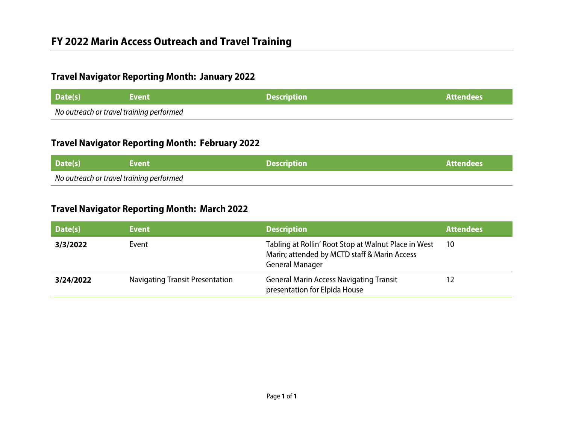## **Travel Navigator Reporting Month: January 2022**

| Date(s)                                  | <b>\Event</b> \ | <b>Description</b> | <b>Attendees</b> |
|------------------------------------------|-----------------|--------------------|------------------|
| No outreach or travel training performed |                 |                    |                  |

## **Travel Navigator Reporting Month: February 2022**

| Date(s)                                  | <b>Event</b> \ | <b>Description</b> | ∕ Attendees / |
|------------------------------------------|----------------|--------------------|---------------|
| No outreach or travel training performed |                |                    |               |

## **Travel Navigator Reporting Month: March 2022**

| Date(s)   | <b>Event</b>                           | <b>Description</b>                                                                                                             | <b>Attendees</b> |
|-----------|----------------------------------------|--------------------------------------------------------------------------------------------------------------------------------|------------------|
| 3/3/2022  | Event                                  | Tabling at Rollin' Root Stop at Walnut Place in West<br>Marin; attended by MCTD staff & Marin Access<br><b>General Manager</b> | 10               |
| 3/24/2022 | <b>Navigating Transit Presentation</b> | <b>General Marin Access Navigating Transit</b><br>presentation for Elpida House                                                |                  |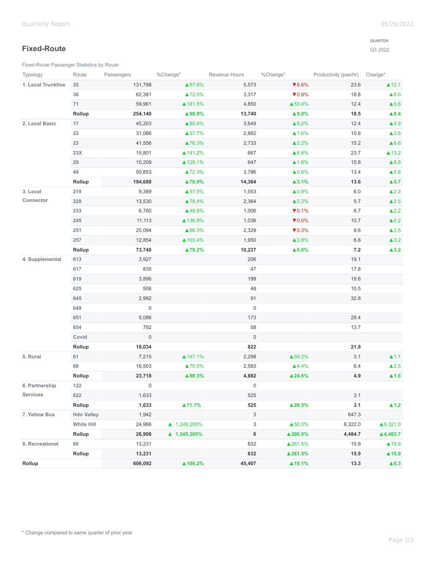### **Fixed-Route**

[Fixed-Route Passenger Statistics by Route](https://analytics.transtrack.net/embedded.html#project=%2Fgdc%2Fprojects%2Fph7vkpt6d15wfrwooz9f6wh5y8cu0ylz&dashboard=%2Fgdc%2Fmd%2Fph7vkpt6d15wfrwooz9f6wh5y8cu0ylz%2Fobj%2F50135&tab=9786be98a850&export=1&ctx=%2Fgdc%2Fprojects%2Fph7vkpt6d15wfrwooz9f6wh5y8cu0ylz%2FexecutionContexts%2Ftmp628fccea4325951434778367&request_id=uix8daca59532ad_204%3AfczyLh8FDl2iATnH%3A2h3mg7aam0ab35oq%3A5&s=/gdc/workspaces/ph7vkpt6d15wfrwooz9f6wh5y8cu0ylz|analysisPage|head|/gdc/md/ph7vkpt6d15wfrwooz9f6wh5y8cu0ylz/obj/102213)

#### QUARTER

| Typology           | Route             | Passengers          | %Change*     | Revenue Hours       | %Change*                   | Productivity (pax/hr) Change* |                          |
|--------------------|-------------------|---------------------|--------------|---------------------|----------------------------|-------------------------------|--------------------------|
| 1. Local Trunkline | 35                | 131,798             | ▲87.8%       | 5,573               | $\blacktriangledown 8.6\%$ | 23.6                          | $\blacktriangle$ 12.1    |
|                    | 36                | 62,381              | ▲72.0%       | 3,317               | $\nabla 0.9\%$             | 18.8                          | $\blacktriangle$ 8.0     |
|                    | 71                | 59,961              | ▲181.5%      | 4,850               | ▲53.4%                     | 12.4                          | $\blacktriangle$ 5.6     |
|                    | Rollup            | 254,140             | ▲98.9%       | 13,740              | ▲9.0%                      | 18.5                          | $\blacktriangle 8.4$     |
| 2. Local Basic     | 17                | 45,203              | ▲80.4%       | 3,649               | ▲9.2%                      | 12.4                          | $\blacktriangle$ 4.9     |
|                    | 22                | 31,066              | ▲57.7%       | 2,882               | $\triangle 1.6\%$          | 10.8                          | $\blacktriangle$ 3.8     |
|                    | 23                | 41,556              | ▲76.3%       | 2,733               | $\triangle 0.2\%$          | 15.2                          | $\triangle 6.6$          |
|                    | 23X               | 15,801              | ▲ 141.2%     | 667                 | ▲6.8%                      | 23.7                          | $\blacktriangle$ 13.2    |
|                    | 29                | 10,209              | ▲129.1%      | 647                 | $\triangle 1.6\%$          | 15.8                          | $\blacktriangle 8.8$     |
|                    | 49                | 50,853              | ▲72.3%       | 3,786               | $\triangle 0.6\%$          | 13.4                          | $\blacktriangle$ 5.6     |
|                    | Rollup            | 194,688             | ▲78.9%       | 14,364              | $\blacktriangle$ 3.1%      | 13.6                          | $\blacktriangle$ 5.7     |
| 3. Local           | 219               | 9,389               | ▲57.5%       | 1,553               | ▲0.9%                      | 6.0                           | $\triangle$ 2.2          |
| Connector          | 228               | 13,530              | ▲78.4%       | 2,364               | $\triangle 0.2\%$          | 5.7                           | $\triangle 2.5$          |
|                    | 233               | 6,760               | ▲49.8%       | 1,006               | $\nabla 0.1\%$             | 6.7                           | $\blacktriangle$ 2.2     |
|                    | 245               | 11,113              | ▲136.9%      | 1,036               | $\nabla 0.0\%$             | 10.7                          | $\triangle 6.2$          |
|                    | 251               | 20,094              | ▲66.3%       | 2,329               | $\nabla 0.3\%$             | 8.6                           | $\blacktriangle$ 3.5     |
|                    | 257               | 12,854              | ▲103.4%      | 1,950               | ▲3.8%                      | 6.6                           | $\blacktriangle$ 3.2     |
|                    | Rollup            | 73,740              | ▲79.2%       | 10,237              | $\blacktriangle 0.8\%$     | $\bf 7.2$                     | $\blacktriangle$ 3.2     |
| 4. Supplemental    | 613               | 3,927               |              | 206                 |                            | 19.1                          |                          |
|                    | 617               | 835                 |              | 47                  |                            | 17.8                          |                          |
|                    | 619               | 3,896               |              | 199                 |                            | 19.6                          |                          |
|                    | 625               | 506                 |              | 48                  |                            | 10.5                          |                          |
|                    | 645               | 2,992               |              | 91                  |                            | 32.8                          |                          |
|                    | 649               | $\mathsf{O}\xspace$ |              | $\mathsf{O}\xspace$ |                            |                               |                          |
|                    | 651               | 5,086               |              | 173                 |                            | 29.4                          |                          |
|                    | 654               | 792                 |              | 58                  |                            | 13.7                          |                          |
|                    | Covid             | $\mathbf 0$         |              | $\mathbf 0$         |                            |                               |                          |
|                    | Rollup            | 18,034              |              | 822                 |                            | 21.9                          |                          |
| 5. Rural           | 61                | 7,215               | ▲147.1%      | 2,298               | ▲59.2%                     | 3.1                           | $\blacktriangle$ 1.1     |
|                    | 68                | 16,503              | ▲70.5%       | 2,583               | $4.4\%$                    | 6.4                           | $\blacktriangle$ 2.5     |
|                    | Rollup            | 23,718              | ▲88.3%       | 4,882               | ▲ 24.6%                    | 4.9                           | $\blacktriangle$ 1.6     |
| 6. Partnership     | 122               | 0                   |              | 0                   |                            |                               |                          |
| <b>Services</b>    | 622               | 1,633               |              | 525                 |                            | 3.1                           |                          |
|                    | Rollup            | 1,633               | ▲71.7%       | 525                 | ▲ 26.5%                    | 3.1                           | $\blacktriangle$ 1.2     |
| 7. Yellow Bus      | <b>Hdn Valley</b> | 1,942               |              | $\mathbf{3}$        |                            | 647.3                         |                          |
|                    | <b>White Hill</b> | 24,966              | ▲ 1,248,200% | $\mathbf{3}$        | ▲50.0%                     | 8,322.0                       | $\blacktriangle 8,321.0$ |
|                    | Rollup            | 26,908              | ▲ 1,345,300% | 6                   | ▲200.0%                    | 4,484.7                       | ▲4,483.7                 |
| 8. Recreational    | 66                | 13,231              |              | 832                 | ▲261.5%                    | 15.9                          | $\triangle$ 15.9         |
|                    | Rollup            | 13,231              |              | 832                 | ▲261.5%                    | 15.9                          | $\blacktriangle$ 15.9    |
| Rollup             |                   | 606,092             | ▲108.2%      | 45,407              | $\blacktriangle$ 10.1%     | 13.3                          | $\triangle 6.3$          |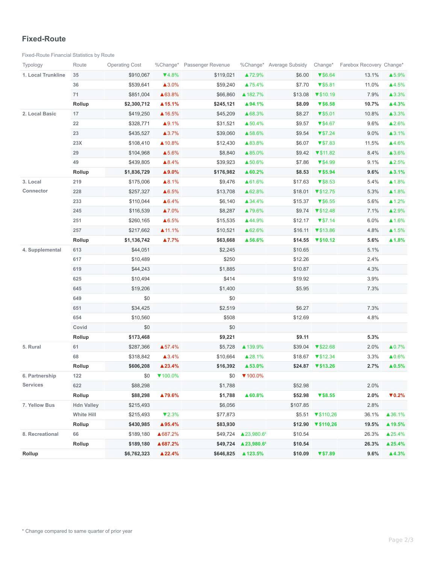#### **Fixed-Route**

[Fixed-Route Financial Statistics by Route](https://analytics.transtrack.net/embedded.html#project=%2Fgdc%2Fprojects%2Fph7vkpt6d15wfrwooz9f6wh5y8cu0ylz&dashboard=%2Fgdc%2Fmd%2Fph7vkpt6d15wfrwooz9f6wh5y8cu0ylz%2Fobj%2F50135&tab=9786be98a850&export=1&ctx=%2Fgdc%2Fprojects%2Fph7vkpt6d15wfrwooz9f6wh5y8cu0ylz%2FexecutionContexts%2Ftmp628fccea4325951434778367&request_id=uix8daca59532ad_204%3AfczyLh8FDl2iATnH%3A2h3mg7aam0ab35oq%3A5&s=/gdc/workspaces/ph7vkpt6d15wfrwooz9f6wh5y8cu0ylz|analysisPage|head|/gdc/md/ph7vkpt6d15wfrwooz9f6wh5y8cu0ylz/obj/102231)

| Typology           | Route             | <b>Operating Cost</b> |                   | %Change* Passenger Revenue |                                      | %Change* Average Subsidy | Change*                               | Farebox Recovery Change* |                        |
|--------------------|-------------------|-----------------------|-------------------|----------------------------|--------------------------------------|--------------------------|---------------------------------------|--------------------------|------------------------|
| 1. Local Trunkline | 35                | \$910,067             | $\P(4.8\%$        | \$119,021                  | ▲72.9%                               | \$6.00                   | $\blacktriangledown$ \$6.64           | 13.1%                    | ▲5.9%                  |
|                    | 36                | \$539,641             | ▲3.0%             | \$59,240                   | ▲75.4%                               | \$7.70                   | $\blacktriangledown$ \$5.81           | 11.0%                    | ▲4.5%                  |
|                    | 71                | \$851,004             | ▲63.8%            | \$66,860                   | ▲ 182.7%                             | \$13.08                  | $\P$ \$10.19                          | 7.9%                     | ▲3.3%                  |
|                    | Rollup            | \$2,300,712           | ▲15.1%            | \$245,121                  | ▲94.1%                               | \$8.09                   | V\$6.58                               | 10.7%                    | ▲4.3%                  |
| 2. Local Basic     | 17                | \$419,250             | ▲16.5%            | \$45,209                   | ▲68.3%                               | \$8.27                   | $\blacktriangledown$ \$5.01           | 10.8%                    | ▲3.3%                  |
|                    | 22                | \$328,771             | ▲9.1%             | \$31,521                   | ▲50.4%                               | \$9.57                   | $\P$ \$4.67                           | 9.6%                     | ▲2.6%                  |
|                    | 23                | \$435,527             | ▲3.7%             | \$39,060                   | ▲58.6%                               | \$9.54                   | $\blacktriangledown$ \$7.24           | 9.0%                     | ▲3.1%                  |
|                    | 23X               | \$108,410             | ▲10.8%            | \$12,430                   | ▲83.8%                               | \$6.07                   | $\P$ \$7.83                           | 11.5%                    | ▲4.6%                  |
|                    | 29                | \$104,968             | ▲5.6%             | \$8,840                    | ▲85.0%                               | \$9.42                   | $\P$ \$11.82                          | 8.4%                     | ▲3.6%                  |
|                    | 49                | \$439,805             | $\triangle 8.4%$  | \$39,923                   | ▲50.6%                               | \$7.86                   | $\P$ \$4.99                           | 9.1%                     | ▲2.5%                  |
|                    | Rollup            | \$1,836,729           | ▲9.0%             | \$176,982                  | ▲ 60.2%                              | \$8.53                   | $V$ \$5.94                            | 9.6%                     | $\blacktriangle$ 3.1%  |
| 3. Local           | 219               | \$175,006             | ▲8.1%             | \$9,476                    | ▲61.6%                               | \$17.63                  | $\P$ \$8.53                           | 5.4%                     | ▲1.8%                  |
| Connector          | 228               | \$257,327             | ▲6.5%             | \$13,708                   | ▲62.8%                               | \$18.01                  | $\P$ \$12.75                          | 5.3%                     | ▲1.8%                  |
|                    | 233               | \$110,044             | ▲6.4%             | \$6,140                    | ▲34.4%                               | \$15.37                  | $\sqrt{$6.55}$                        | 5.6%                     | $\triangle 1.2\%$      |
|                    | 245               | \$116,539             | ▲7.0%             | \$8,287                    | ▲79.6%                               | \$9.74                   | $\P$ \$12.48                          | 7.1%                     | ▲2.9%                  |
|                    | 251               | \$260,165             | ▲6.5%             | \$15,535                   | ▲44.9%                               | \$12.17                  | $\blacktriangledown$ \$7.14           | 6.0%                     | $\blacktriangle$ 1.6%  |
|                    | 257               | \$217,662             | ▲ 11.1%           | \$10,521                   | ▲62.6%                               | \$16.11                  | $\P$ \$13.86                          | 4.8%                     | ▲1.5%                  |
|                    | Rollup            | \$1,136,742           | ▲7.7%             | \$63,668                   | ▲56.6%                               | \$14.55                  | $\P$ \$10.12                          | 5.6%                     | ▲1.8%                  |
| 4. Supplemental    | 613               | \$44,051              |                   | \$2,245                    |                                      | \$10.65                  |                                       | 5.1%                     |                        |
|                    | 617               | \$10,489              |                   | \$250                      |                                      | \$12.26                  |                                       | 2.4%                     |                        |
|                    | 619               | \$44,243              |                   | \$1,885                    |                                      | \$10.87                  |                                       | 4.3%                     |                        |
|                    | 625               | \$10,494              |                   | \$414                      |                                      | \$19.92                  |                                       | 3.9%                     |                        |
|                    | 645               | \$19,206              |                   | \$1,400                    |                                      | \$5.95                   |                                       | 7.3%                     |                        |
|                    | 649               | \$0                   |                   | \$0                        |                                      |                          |                                       |                          |                        |
|                    | 651               | \$34,425              |                   | \$2,519                    |                                      | \$6.27                   |                                       | 7.3%                     |                        |
|                    | 654               | \$10,560              |                   | \$508                      |                                      | \$12.69                  |                                       | 4.8%                     |                        |
|                    | Covid             | \$0                   |                   | \$0                        |                                      |                          |                                       |                          |                        |
|                    | Rollup            | \$173,468             |                   | \$9,221                    |                                      | \$9.11                   |                                       | 5.3%                     |                        |
| 5. Rural           | 61                | \$287,366             | ▲57.4%            | \$5,728                    | ▲ 139.9%                             | \$39.04                  | $\P$ \$22.68                          | 2.0%                     | $\triangle 0.7\%$      |
|                    | 68                | \$318,842             | $\triangle 3.4\%$ | \$10,664                   | ▲28.1%                               | \$18.67                  | $\blacktriangledown$ \$12.34          | 3.3%                     | ▲0.6%                  |
|                    | Rollup            | \$606,208             | ▲23.4%            | \$16,392                   | ▲53.0%                               |                          | $$24.87$ $\blacktriangledown$ \$13.26 | 2.7%                     | $\blacktriangle 0.5\%$ |
| 6. Partnership     | 122               | \$0                   | $\P$ 100.0%       | \$0                        | ▼100.0%                              |                          |                                       |                          |                        |
| <b>Services</b>    | 622               | \$88,298              |                   | \$1,788                    |                                      | \$52.98                  |                                       | 2.0%                     |                        |
|                    | Rollup            | \$88,298              | ▲79.6%            | \$1,788                    | ▲60.8%                               | \$52.98                  | V\$8.55                               | 2.0%                     | $\nabla 0.2\%$         |
| 7. Yellow Bus      | <b>Hdn Valley</b> | \$215,493             |                   | \$6,056                    |                                      | \$107.85                 |                                       | 2.8%                     |                        |
|                    | <b>White Hill</b> | \$215,493             | $\nabla 2.3\%$    | \$77,873                   |                                      | \$5.51                   | $\P$ \$110,26                         | 36.1%                    | ▲36.1%                 |
|                    | Rollup            | \$430,985             | $\triangle$ 95.4% | \$83,930                   |                                      | \$12.90                  | $\P$ \$110,26                         | 19.5%                    | ▲ 19.5%                |
| 8. Recreational    | 66                | \$189,180             | ▲687.2%           | \$49,724                   | $\blacktriangle$ 23,980.6 $^{\circ}$ | \$10.54                  |                                       | 26.3%                    | ▲25.4%                 |
|                    | Rollup            | \$189,180             | ▲ 687.2%          | \$49,724                   | ▲23,980.6                            | \$10.54                  |                                       | 26.3%                    | ▲25.4%                 |
| Rollup             |                   | \$6,762,323           | ▲22.4%            | \$646,825                  | ▲ 123.5%                             | \$10.09                  | V\$7.89                               | 9.6%                     | ▲4.3%                  |